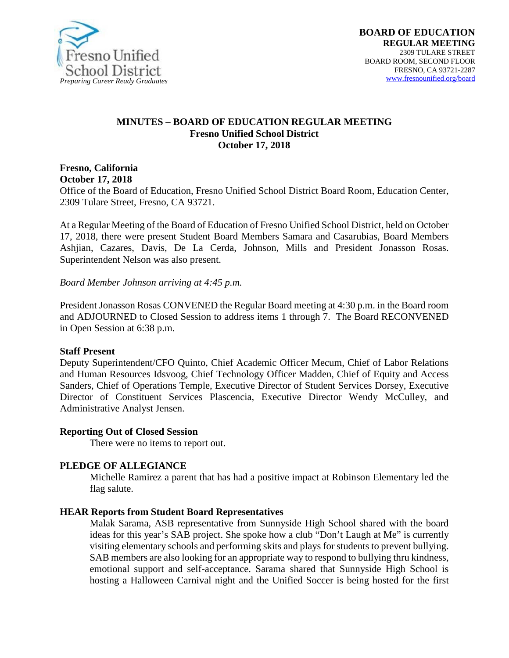

#### **MINUTES – BOARD OF EDUCATION REGULAR MEETING Fresno Unified School District October 17, 2018**

**Fresno, California October 17, 2018** 

Office of the Board of Education, Fresno Unified School District Board Room, Education Center, 2309 Tulare Street, Fresno, CA 93721.

At a Regular Meeting of the Board of Education of Fresno Unified School District, held on October 17, 2018, there were present Student Board Members Samara and Casarubias, Board Members Ashjian, Cazares, Davis, De La Cerda, Johnson, Mills and President Jonasson Rosas. Superintendent Nelson was also present.

*Board Member Johnson arriving at 4:45 p.m.*

President Jonasson Rosas CONVENED the Regular Board meeting at 4:30 p.m. in the Board room and ADJOURNED to Closed Session to address items 1 through 7. The Board RECONVENED in Open Session at 6:38 p.m.

#### **Staff Present**

Deputy Superintendent/CFO Quinto, Chief Academic Officer Mecum, Chief of Labor Relations and Human Resources Idsvoog, Chief Technology Officer Madden, Chief of Equity and Access Sanders, Chief of Operations Temple, Executive Director of Student Services Dorsey, Executive Director of Constituent Services Plascencia, Executive Director Wendy McCulley, and Administrative Analyst Jensen.

#### **Reporting Out of Closed Session**

There were no items to report out.

#### **PLEDGE OF ALLEGIANCE**

Michelle Ramirez a parent that has had a positive impact at Robinson Elementary led the flag salute.

#### **HEAR Reports from Student Board Representatives**

Malak Sarama, ASB representative from Sunnyside High School shared with the board ideas for this year's SAB project. She spoke how a club "Don't Laugh at Me" is currently visiting elementary schools and performing skits and plays for students to prevent bullying. SAB members are also looking for an appropriate way to respond to bullying thru kindness, emotional support and self-acceptance. Sarama shared that Sunnyside High School is hosting a Halloween Carnival night and the Unified Soccer is being hosted for the first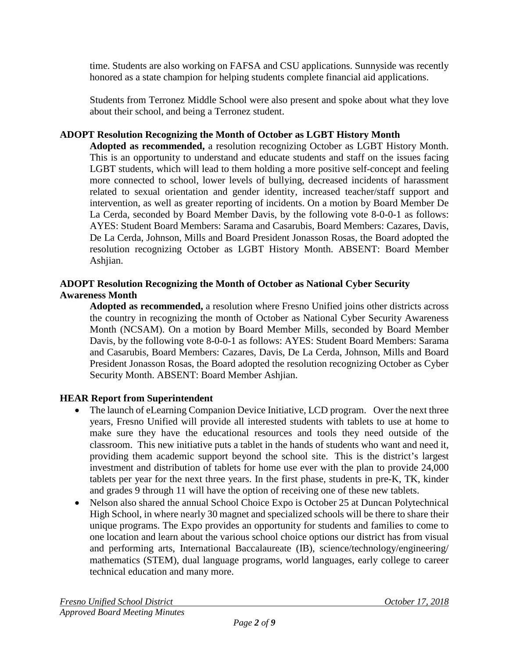time. Students are also working on FAFSA and CSU applications. Sunnyside was recently honored as a state champion for helping students complete financial aid applications.

Students from Terronez Middle School were also present and spoke about what they love about their school, and being a Terronez student.

## **ADOPT Resolution Recognizing the Month of October as LGBT History Month**

**Adopted as recommended,** a resolution recognizing October as LGBT History Month. This is an opportunity to understand and educate students and staff on the issues facing LGBT students, which will lead to them holding a more positive self-concept and feeling more connected to school, lower levels of bullying, decreased incidents of harassment related to sexual orientation and gender identity, increased teacher/staff support and intervention, as well as greater reporting of incidents. On a motion by Board Member De La Cerda, seconded by Board Member Davis, by the following vote 8-0-0-1 as follows: AYES: Student Board Members: Sarama and Casarubis, Board Members: Cazares, Davis, De La Cerda, Johnson, Mills and Board President Jonasson Rosas, the Board adopted the resolution recognizing October as LGBT History Month. ABSENT: Board Member Ashjian.

# **ADOPT Resolution Recognizing the Month of October as National Cyber Security Awareness Month**

**Adopted as recommended,** a resolution where Fresno Unified joins other districts across the country in recognizing the month of October as National Cyber Security Awareness Month (NCSAM). On a motion by Board Member Mills, seconded by Board Member Davis, by the following vote 8-0-0-1 as follows: AYES: Student Board Members: Sarama and Casarubis, Board Members: Cazares, Davis, De La Cerda, Johnson, Mills and Board President Jonasson Rosas, the Board adopted the resolution recognizing October as Cyber Security Month. ABSENT: Board Member Ashjian.

# **HEAR Report from Superintendent**

- The launch of eLearning Companion Device Initiative, LCD program. Over the next three years, Fresno Unified will provide all interested students with tablets to use at home to make sure they have the educational resources and tools they need outside of the classroom. This new initiative puts a tablet in the hands of students who want and need it, providing them academic support beyond the school site. This is the district's largest investment and distribution of tablets for home use ever with the plan to provide 24,000 tablets per year for the next three years. In the first phase, students in pre-K, TK, kinder and grades 9 through 11 will have the option of receiving one of these new tablets.
- Nelson also shared the annual School Choice Expo is October 25 at Duncan Polytechnical High School, in where nearly 30 magnet and specialized schools will be there to share their unique programs. The Expo provides an opportunity for students and families to come to one location and learn about the various school choice options our district has from visual and performing arts, International Baccalaureate (IB), science/technology/engineering/ mathematics (STEM), dual language programs, world languages, early college to career technical education and many more.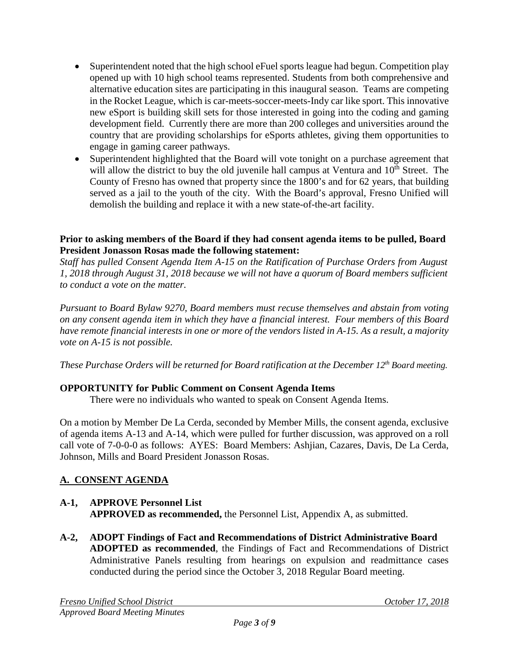- Superintendent noted that the high school eFuel sports league had begun. Competition play opened up with 10 high school teams represented. Students from both comprehensive and alternative education sites are participating in this inaugural season. Teams are competing in the Rocket League, which is car-meets-soccer-meets-Indy car like sport. This innovative new eSport is building skill sets for those interested in going into the coding and gaming development field. Currently there are more than 200 colleges and universities around the country that are providing scholarships for eSports athletes, giving them opportunities to engage in gaming career pathways.
- Superintendent highlighted that the Board will vote tonight on a purchase agreement that will allow the district to buy the old juvenile hall campus at Ventura and 10<sup>th</sup> Street. The County of Fresno has owned that property since the 1800's and for 62 years, that building served as a jail to the youth of the city. With the Board's approval, Fresno Unified will demolish the building and replace it with a new state-of-the-art facility.

## **Prior to asking members of the Board if they had consent agenda items to be pulled, Board President Jonasson Rosas made the following statement:**

*Staff has pulled Consent Agenda Item A-15 on the Ratification of Purchase Orders from August 1, 2018 through August 31, 2018 because we will not have a quorum of Board members sufficient to conduct a vote on the matter.* 

*Pursuant to Board Bylaw 9270, Board members must recuse themselves and abstain from voting on any consent agenda item in which they have a financial interest. Four members of this Board have remote financial interests in one or more of the vendors listed in A-15. As a result, a majority vote on A-15 is not possible.* 

*These Purchase Orders will be returned for Board ratification at the December 12<sup>th</sup> Board meeting.* 

# **OPPORTUNITY for Public Comment on Consent Agenda Items**

There were no individuals who wanted to speak on Consent Agenda Items.

On a motion by Member De La Cerda, seconded by Member Mills, the consent agenda, exclusive of agenda items A-13 and A-14, which were pulled for further discussion, was approved on a roll call vote of 7-0-0-0 as follows: AYES: Board Members: Ashjian, Cazares, Davis, De La Cerda, Johnson, Mills and Board President Jonasson Rosas.

# **A. CONSENT AGENDA**

## **A-1, APPROVE Personnel List APPROVED as recommended,** the Personnel List, Appendix A, as submitted.

**A-2, ADOPT Findings of Fact and Recommendations of District Administrative Board ADOPTED as recommended**, the Findings of Fact and Recommendations of District Administrative Panels resulting from hearings on expulsion and readmittance cases conducted during the period since the October 3, 2018 Regular Board meeting.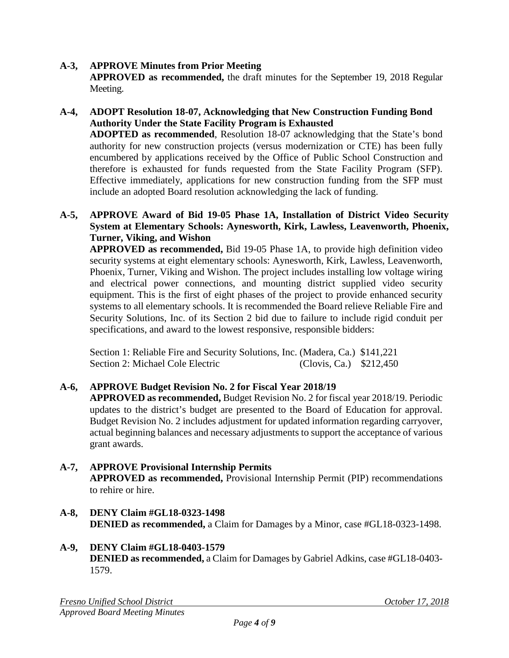## **A-3, APPROVE Minutes from Prior Meeting**

**APPROVED as recommended,** the draft minutes for the September 19, 2018 Regular Meeting.

### **A-4, ADOPT Resolution 18-07, Acknowledging that New Construction Funding Bond Authority Under the State Facility Program is Exhausted**

**ADOPTED as recommended**, Resolution 18-07 acknowledging that the State's bond authority for new construction projects (versus modernization or CTE) has been fully encumbered by applications received by the Office of Public School Construction and therefore is exhausted for funds requested from the State Facility Program (SFP). Effective immediately, applications for new construction funding from the SFP must include an adopted Board resolution acknowledging the lack of funding.

### **A-5, APPROVE Award of Bid 19-05 Phase 1A, Installation of District Video Security System at Elementary Schools: Aynesworth, Kirk, Lawless, Leavenworth, Phoenix, Turner, Viking, and Wishon**

**APPROVED as recommended,** Bid 19-05 Phase 1A, to provide high definition video security systems at eight elementary schools: Aynesworth, Kirk, Lawless, Leavenworth, Phoenix, Turner, Viking and Wishon. The project includes installing low voltage wiring and electrical power connections, and mounting district supplied video security equipment. This is the first of eight phases of the project to provide enhanced security systems to all elementary schools. It is recommended the Board relieve Reliable Fire and Security Solutions, Inc. of its Section 2 bid due to failure to include rigid conduit per specifications, and award to the lowest responsive, responsible bidders:

Section 1: Reliable Fire and Security Solutions, Inc. (Madera, Ca.) \$141,221 Section 2: Michael Cole Electric (Clovis, Ca.) \$212,450

# **A-6, APPROVE Budget Revision No. 2 for Fiscal Year 2018/19**

**APPROVED as recommended,** Budget Revision No. 2 for fiscal year 2018/19. Periodic updates to the district's budget are presented to the Board of Education for approval. Budget Revision No. 2 includes adjustment for updated information regarding carryover, actual beginning balances and necessary adjustments to support the acceptance of various grant awards.

### **A-7, APPROVE Provisional Internship Permits**

**APPROVED as recommended,** Provisional Internship Permit (PIP) recommendations to rehire or hire.

**A-8, DENY Claim #GL18-0323-1498 DENIED as recommended,** a Claim for Damages by a Minor, case #GL18-0323-1498.

### **A-9, DENY Claim #GL18-0403-1579**

**DENIED as recommended,** a Claim for Damages by Gabriel Adkins, case #GL18-0403- 1579.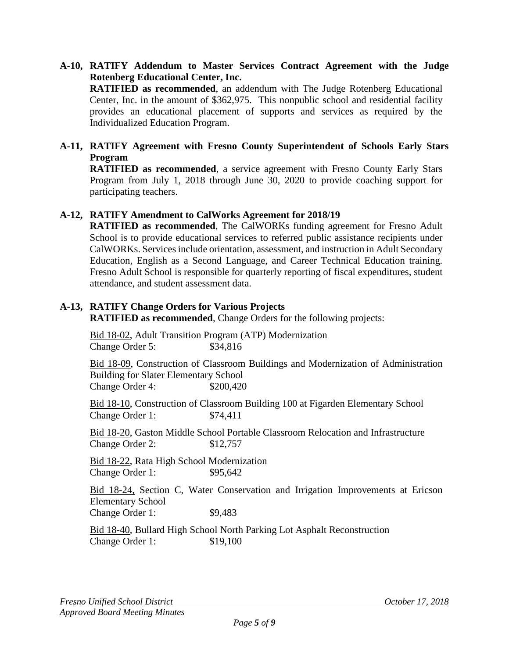# **A-10, RATIFY Addendum to Master Services Contract Agreement with the Judge Rotenberg Educational Center, Inc. RATIFIED as recommended**, an addendum with The Judge Rotenberg Educational

Center, Inc. in the amount of \$362,975. This nonpublic school and residential facility provides an educational placement of supports and services as required by the Individualized Education Program.

## **A-11, RATIFY Agreement with Fresno County Superintendent of Schools Early Stars Program**

**RATIFIED as recommended**, a service agreement with Fresno County Early Stars Program from July 1, 2018 through June 30, 2020 to provide coaching support for participating teachers.

## **A-12, RATIFY Amendment to CalWorks Agreement for 2018/19**

**RATIFIED as recommended**, The CalWORKs funding agreement for Fresno Adult School is to provide educational services to referred public assistance recipients under CalWORKs. Services include orientation, assessment, and instruction in Adult Secondary Education, English as a Second Language, and Career Technical Education training. Fresno Adult School is responsible for quarterly reporting of fiscal expenditures, student attendance, and student assessment data.

# **A-13, RATIFY Change Orders for Various Projects**

**RATIFIED as recommended**, Change Orders for the following projects:

Bid 18-02, Adult Transition Program (ATP) Modernization Change Order 5: \$34,816

Bid 18-09, Construction of Classroom Buildings and Modernization of Administration Building for Slater Elementary School Change Order 4: \$200,420

Bid 18-10, Construction of Classroom Building 100 at Figarden Elementary School Change Order 1: \$74,411

Bid 18-20, Gaston Middle School Portable Classroom Relocation and Infrastructure Change Order 2: \$12,757

Bid 18-22, Rata High School Modernization Change Order 1: \$95,642

Bid 18-24, Section C, Water Conservation and Irrigation Improvements at Ericson Elementary School

Change Order 1: \$9,483

Bid 18-40, Bullard High School North Parking Lot Asphalt Reconstruction Change Order 1: \$19,100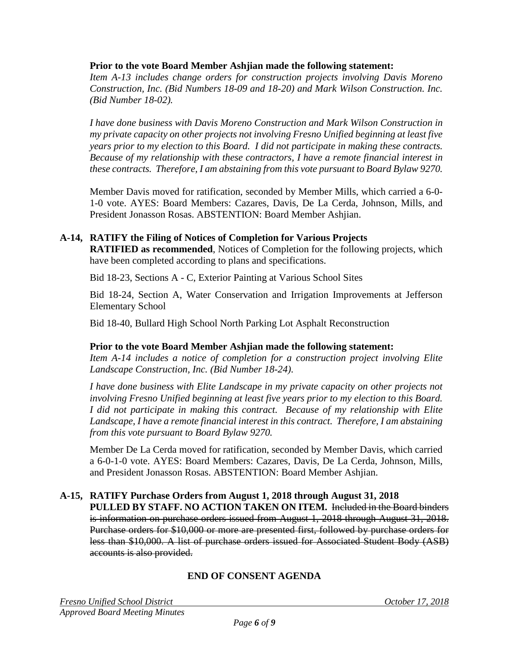### **Prior to the vote Board Member Ashjian made the following statement:**

*Item A-13 includes change orders for construction projects involving Davis Moreno Construction, Inc. (Bid Numbers 18-09 and 18-20) and Mark Wilson Construction. Inc. (Bid Number 18-02).*

*I have done business with Davis Moreno Construction and Mark Wilson Construction in my private capacity on other projects not involving Fresno Unified beginning at least five years prior to my election to this Board. I did not participate in making these contracts. Because of my relationship with these contractors, I have a remote financial interest in these contracts. Therefore, I am abstaining from this vote pursuant to Board Bylaw 9270.*

Member Davis moved for ratification, seconded by Member Mills, which carried a 6-0- 1-0 vote. AYES: Board Members: Cazares, Davis, De La Cerda, Johnson, Mills, and President Jonasson Rosas. ABSTENTION: Board Member Ashjian.

## **A-14, RATIFY the Filing of Notices of Completion for Various Projects**

**RATIFIED as recommended**, Notices of Completion for the following projects, which have been completed according to plans and specifications.

Bid 18-23, Sections A - C, Exterior Painting at Various School Sites

Bid 18-24, Section A, Water Conservation and Irrigation Improvements at Jefferson Elementary School

Bid 18-40, Bullard High School North Parking Lot Asphalt Reconstruction

### **Prior to the vote Board Member Ashjian made the following statement:**

*Item A-14 includes a notice of completion for a construction project involving Elite Landscape Construction, Inc. (Bid Number 18-24).*

*I have done business with Elite Landscape in my private capacity on other projects not involving Fresno Unified beginning at least five years prior to my election to this Board. I did not participate in making this contract. Because of my relationship with Elite Landscape, I have a remote financial interest in this contract. Therefore, I am abstaining from this vote pursuant to Board Bylaw 9270.* 

Member De La Cerda moved for ratification, seconded by Member Davis, which carried a 6-0-1-0 vote. AYES: Board Members: Cazares, Davis, De La Cerda, Johnson, Mills, and President Jonasson Rosas. ABSTENTION: Board Member Ashjian.

# **A-15, RATIFY Purchase Orders from August 1, 2018 through August 31, 2018**

**PULLED BY STAFF. NO ACTION TAKEN ON ITEM.** Included in the Board binders is information on purchase orders issued from August 1, 2018 through August 31, 2018. Purchase orders for \$10,000 or more are presented first, followed by purchase orders for less than \$10,000. A list of purchase orders issued for Associated Student Body (ASB) accounts is also provided.

# **END OF CONSENT AGENDA**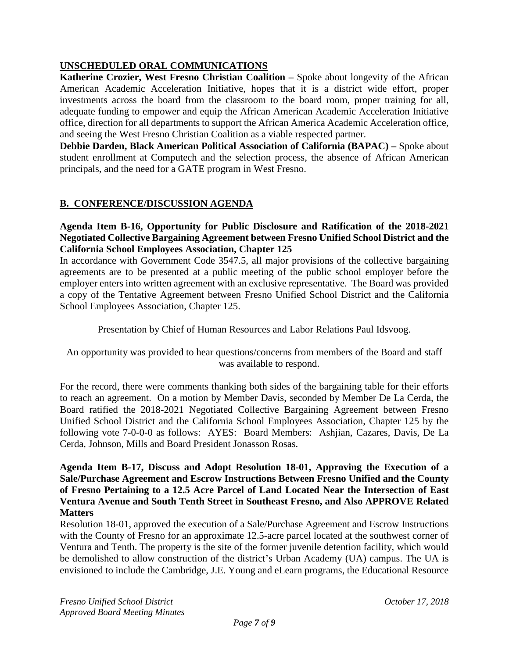# **UNSCHEDULED ORAL COMMUNICATIONS**

**Katherine Crozier, West Fresno Christian Coalition –** Spoke about longevity of the African American Academic Acceleration Initiative, hopes that it is a district wide effort, proper investments across the board from the classroom to the board room, proper training for all, adequate funding to empower and equip the African American Academic Acceleration Initiative office, direction for all departments to support the African America Academic Acceleration office, and seeing the West Fresno Christian Coalition as a viable respected partner.

**Debbie Darden, Black American Political Association of California (BAPAC) –** Spoke about student enrollment at Computech and the selection process, the absence of African American principals, and the need for a GATE program in West Fresno.

# **B. CONFERENCE/DISCUSSION AGENDA**

### **Agenda Item B-16, Opportunity for Public Disclosure and Ratification of the 2018-2021 Negotiated Collective Bargaining Agreement between Fresno Unified School District and the California School Employees Association, Chapter 125**

In accordance with Government Code 3547.5, all major provisions of the collective bargaining agreements are to be presented at a public meeting of the public school employer before the employer enters into written agreement with an exclusive representative. The Board was provided a copy of the Tentative Agreement between Fresno Unified School District and the California School Employees Association, Chapter 125.

Presentation by Chief of Human Resources and Labor Relations Paul Idsvoog.

An opportunity was provided to hear questions/concerns from members of the Board and staff was available to respond.

For the record, there were comments thanking both sides of the bargaining table for their efforts to reach an agreement. On a motion by Member Davis, seconded by Member De La Cerda, the Board ratified the 2018-2021 Negotiated Collective Bargaining Agreement between Fresno Unified School District and the California School Employees Association, Chapter 125 by the following vote 7-0-0-0 as follows: AYES: Board Members: Ashjian, Cazares, Davis, De La Cerda, Johnson, Mills and Board President Jonasson Rosas.

#### **Agenda Item B-17, Discuss and Adopt Resolution 18-01, Approving the Execution of a Sale/Purchase Agreement and Escrow Instructions Between Fresno Unified and the County of Fresno Pertaining to a 12.5 Acre Parcel of Land Located Near the Intersection of East Ventura Avenue and South Tenth Street in Southeast Fresno, and Also APPROVE Related Matters**

Resolution 18-01, approved the execution of a Sale/Purchase Agreement and Escrow Instructions with the County of Fresno for an approximate 12.5-acre parcel located at the southwest corner of Ventura and Tenth. The property is the site of the former juvenile detention facility, which would be demolished to allow construction of the district's Urban Academy (UA) campus. The UA is envisioned to include the Cambridge, J.E. Young and eLearn programs, the Educational Resource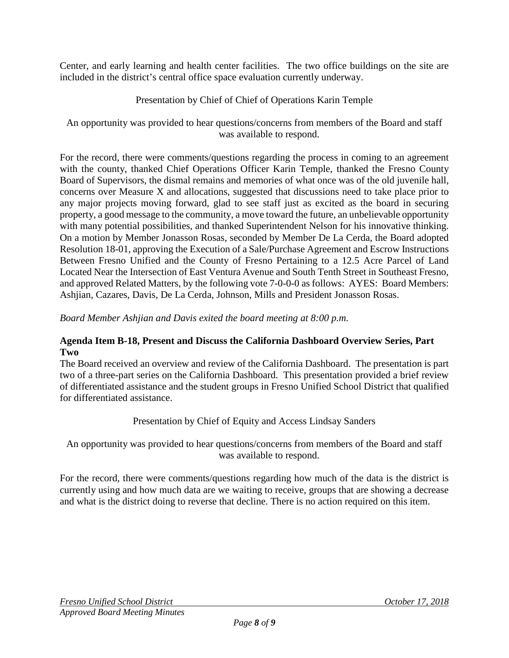Center, and early learning and health center facilities. The two office buildings on the site are included in the district's central office space evaluation currently underway.

# Presentation by Chief of Chief of Operations Karin Temple

An opportunity was provided to hear questions/concerns from members of the Board and staff was available to respond.

For the record, there were comments/questions regarding the process in coming to an agreement with the county, thanked Chief Operations Officer Karin Temple, thanked the Fresno County Board of Supervisors, the dismal remains and memories of what once was of the old juvenile hall, concerns over Measure X and allocations, suggested that discussions need to take place prior to any major projects moving forward, glad to see staff just as excited as the board in securing property, a good message to the community, a move toward the future, an unbelievable opportunity with many potential possibilities, and thanked Superintendent Nelson for his innovative thinking. On a motion by Member Jonasson Rosas, seconded by Member De La Cerda, the Board adopted Resolution 18-01, approving the Execution of a Sale/Purchase Agreement and Escrow Instructions Between Fresno Unified and the County of Fresno Pertaining to a 12.5 Acre Parcel of Land Located Near the Intersection of East Ventura Avenue and South Tenth Street in Southeast Fresno, and approved Related Matters, by the following vote 7-0-0-0 as follows: AYES: Board Members: Ashjian, Cazares, Davis, De La Cerda, Johnson, Mills and President Jonasson Rosas.

*Board Member Ashjian and Davis exited the board meeting at 8:00 p.m.*

### **Agenda Item B-18, Present and Discuss the California Dashboard Overview Series, Part Two**

The Board received an overview and review of the California Dashboard. The presentation is part two of a three-part series on the California Dashboard. This presentation provided a brief review of differentiated assistance and the student groups in Fresno Unified School District that qualified for differentiated assistance.

Presentation by Chief of Equity and Access Lindsay Sanders

An opportunity was provided to hear questions/concerns from members of the Board and staff was available to respond.

For the record, there were comments/questions regarding how much of the data is the district is currently using and how much data are we waiting to receive, groups that are showing a decrease and what is the district doing to reverse that decline. There is no action required on this item.